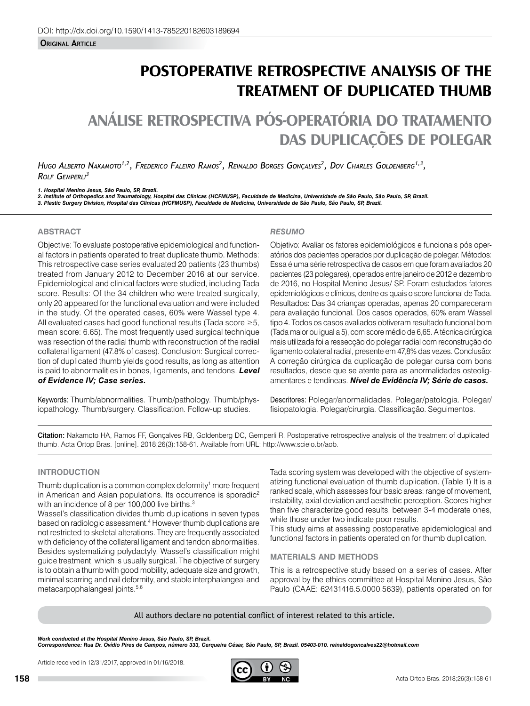**Original Article**

# **POSTOPERATIVE RETROSPECTIVE ANALYSIS OF THE TREATMENT OF DUPLICATED THUMB**

# **ANÁLISE RETROSPECTIVA PÓS-OPERATÓRIA DO TRATAMENTO DAS DUPLICAÇÕES DE POLEGAR**

*Hugo Alberto Nakamoto1,2, Frederico Faleiro Ramos2 , Reinaldo Borges Gonçalves2 , Dov Charles Goldenberg1,3, Rolf Gemperli3*

*1. Hospital Menino Jesus, São Paulo, SP, Brazil.* 2. Institute of Orthopedics and Traumatology, Hospital das Clinicas (HCFMUSP), Faculdade de Medicina, Universidade de São Paulo, São Paulo, SP, Brazil.<br>3. Plastic Surgery Division, Hospital das Clinicas (HCFMUSP), Faculdad

## **ABSTRACT**

Objective: To evaluate postoperative epidemiological and functional factors in patients operated to treat duplicate thumb. Methods: This retrospective case series evaluated 20 patients (23 thumbs) treated from January 2012 to December 2016 at our service. Epidemiological and clinical factors were studied, including Tada score. Results: Of the 34 children who were treated surgically, only 20 appeared for the functional evaluation and were included in the study. Of the operated cases, 60% were Wassel type 4. All evaluated cases had good functional results (Tada score ≥5, mean score: 6.65). The most frequently used surgical technique was resection of the radial thumb with reconstruction of the radial collateral ligament (47.8% of cases). Conclusion: Surgical correction of duplicated thumb yields good results, as long as attention is paid to abnormalities in bones, ligaments, and tendons. *Level of Evidence IV; Case series.*

Keywords: Thumb/abnormalities. Thumb/pathology. Thumb/physiopathology. Thumb/surgery. Classification. Follow-up studies.

### *RESUMO*

Objetivo: Avaliar os fatores epidemiológicos e funcionais pós operatórios dos pacientes operados por duplicação de polegar. Métodos: Essa é uma série retrospectiva de casos em que foram avaliados 20 pacientes (23 polegares), operados entre janeiro de 2012 e dezembro de 2016, no Hospital Menino Jesus/ SP. Foram estudados fatores epidemiológicos e clínicos, dentre os quais o score funcional de Tada. Resultados: Das 34 crianças operadas, apenas 20 compareceram para avaliação funcional. Dos casos operados, 60% eram Wassel tipo 4. Todos os casos avaliados obtiveram resultado funcional bom (Tada maior ou igual a 5), com score médio de 6,65. A técnica cirúrgica mais utilizada foi a ressecção do polegar radial com reconstrução do ligamento colateral radial, presente em 47,8% das vezes. Conclusão: A correção cirúrgica da duplicação de polegar cursa com bons resultados, desde que se atente para as anormalidades osteoligamentares e tendíneas. *Nível de Evidência IV; Série de casos.*

Descritores: Polegar/anormalidades. Polegar/patologia. Polegar/ fisiopatologia. Polegar/cirurgia. Classificação. Seguimentos.

Citation: Nakamoto HA, Ramos FF, Gonçalves RB, Goldenberg DC, Gemperli R. Postoperative retrospective analysis of the treatment of duplicated thumb. Acta Ortop Bras. [online]. 2018;26(3):158-61. Available from URL: http://www.scielo.br/aob.

### **INTRODUCTION**

Thumb duplication is a common complex deformity<sup>1</sup> more frequent in American and Asian populations. Its occurrence is sporadic<sup>2</sup> with an incidence of 8 per 100,000 live births.<sup>3</sup>

Wassel's classification divides thumb duplications in seven types based on radiologic assessment.<sup>4</sup> However thumb duplications are not restricted to skeletal alterations. They are frequently associated with deficiency of the collateral ligament and tendon abnormalities. Besides systematizing polydactyly, Wassel's classification might guide treatment, which is usually surgical. The objective of surgery is to obtain a thumb with good mobility, adequate size and growth, minimal scarring and nail deformity, and stable interphalangeal and metacarpophalangeal joints.5,6

Tada scoring system was developed with the objective of systematizing functional evaluation of thumb duplication. (Table 1) It is a ranked scale, which assesses four basic areas: range of movement, instability, axial deviation and aesthetic perception. Scores higher than five characterize good results, between 3-4 moderate ones, while those under two indicate poor results.

This study aims at assessing postoperative epidemiological and functional factors in patients operated on for thumb duplication.

#### **MATERIALS AND METHODS**

This is a retrospective study based on a series of cases. After approval by the ethics committee at Hospital Menino Jesus, São Paulo (CAAE: 62431416.5.0000.5639), patients operated on for

All authors declare no potential conflict of interest related to this article.

*Work conducted at the Hospital Menino Jesus, São Paulo, SP, Brazil.* 

*Correspondence: Rua Dr. Ovídio Pires de Campos, número 333, Cerqueira César, São Paulo, SP, Brazil. 05403-010. reinaldogoncalves22@hotmail.com*

Article received in 12/31/2017, approved in 01/16/2018.

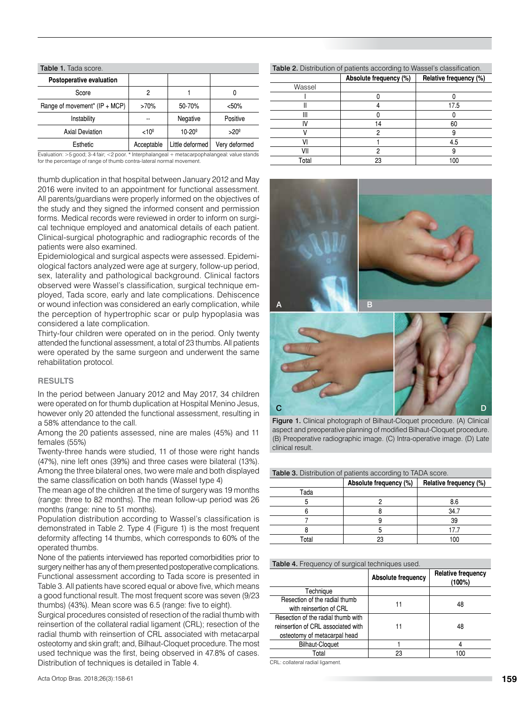| Table 1. Tada score.          |                   |                   |               |  |
|-------------------------------|-------------------|-------------------|---------------|--|
| Postoperative evaluation      |                   |                   |               |  |
| Score                         | 2                 |                   | 0             |  |
| Range of movement* (IP + MCP) | >70%              | 50-70%            | $50%$         |  |
| Instability                   |                   | Negative          | Positive      |  |
| <b>Axial Deviation</b>        | < 10 <sup>°</sup> | $10 - 20^{\circ}$ | $>20^\circ$   |  |
| Esthetic                      | Acceptable        | Little deformed   | Very deformed |  |

Evaluation: >5 good; 3-4 fair; <2 poor. \* Interphalangeal + metacarpophalangeal: value stands for the percentage of range of thumb contra-lateral normal movement.

thumb duplication in that hospital between January 2012 and May 2016 were invited to an appointment for functional assessment. All parents/guardians were properly informed on the objectives of the study and they signed the informed consent and permission forms. Medical records were reviewed in order to inform on surgical technique employed and anatomical details of each patient. Clinical-surgical photographic and radiographic records of the patients were also examined.

Epidemiological and surgical aspects were assessed. Epidemiological factors analyzed were age at surgery, follow-up period, sex, laterality and pathological background. Clinical factors observed were Wassel's classification, surgical technique employed, Tada score, early and late complications. Dehiscence or wound infection was considered an early complication, while the perception of hypertrophic scar or pulp hypoplasia was considered a late complication.

Thirty-four children were operated on in the period. Only twenty attended the functional assessment, a total of 23 thumbs. All patients were operated by the same surgeon and underwent the same rehabilitation protocol.

### **RESULTS**

In the period between January 2012 and May 2017, 34 children were operated on for thumb duplication at Hospital Menino Jesus, however only 20 attended the functional assessment, resulting in a 58% attendance to the call.

Among the 20 patients assessed, nine are males (45%) and 11 females (55%)

Twenty-three hands were studied, 11 of those were right hands (47%), nine left ones (39%) and three cases were bilateral (13%). Among the three bilateral ones, two were male and both displayed the same classification on both hands (Wassel type 4)

The mean age of the children at the time of surgery was 19 months (range: three to 82 months). The mean follow-up period was 26 months (range: nine to 51 months).

Population distribution according to Wassel's classification is demonstrated in Table 2. Type 4 (Figure 1) is the most frequent deformity affecting 14 thumbs, which corresponds to 60% of the operated thumbs.

None of the patients interviewed has reported comorbidities prior to surgery neither has any of them presented postoperative complications. Functional assessment according to Tada score is presented in Table 3. All patients have scored equal or above five, which means a good functional result. The most frequent score was seven (9/23 thumbs) (43%). Mean score was 6.5 (range: five to eight).

Surgical procedures consisted of resection of the radial thumb with reinsertion of the collateral radial ligament (CRL); resection of the radial thumb with reinsertion of CRL associated with metacarpal osteotomy and skin graft; and, Bilhaut-Cloquet procedure. The most used technique was the first, being observed in 47.8% of cases. Distribution of techniques is detailed in Table 4.

| <b>Table 2.</b> Distribution of patients according to Wassel's classification. |  |  |
|--------------------------------------------------------------------------------|--|--|
|                                                                                |  |  |

|        | ີ                      |                        |
|--------|------------------------|------------------------|
|        | Absolute frequency (%) | Relative frequency (%) |
| Wassel |                        |                        |
|        |                        |                        |
|        |                        | 17.5                   |
|        |                        |                        |
|        |                        | 60                     |
|        |                        |                        |
|        |                        | 4.5                    |
| VII    |                        |                        |
| Total  | 23                     | 00                     |





Figure 1. Clinical photograph of Bilhaut-Cloquet procedure. (A) Clinical aspect and preoperative planning of modified Bilhaut-Cloquet procedure. (B) Preoperative radiographic image. (C) Intra-operative image. (D) Late clinical result.

| <b>Table 3.</b> Distribution of patients according to TADA score. |                        |                        |  |  |
|-------------------------------------------------------------------|------------------------|------------------------|--|--|
|                                                                   | Absolute frequency (%) | Relative frequency (%) |  |  |
| Tada                                                              |                        |                        |  |  |
| 5                                                                 |                        | 8.6                    |  |  |
|                                                                   |                        | 34.7                   |  |  |
|                                                                   |                        | 39                     |  |  |
|                                                                   |                        | 17.7                   |  |  |
| Total                                                             |                        | 100                    |  |  |

#### Table 4. Frequency of surgical techniques used.

|                                                                                                          | <b>Absolute frequency</b> | <b>Relative frequency</b><br>(100%) |
|----------------------------------------------------------------------------------------------------------|---------------------------|-------------------------------------|
| Technique                                                                                                |                           |                                     |
| Resection of the radial thumb<br>with reinsertion of CRL                                                 |                           | 48                                  |
| Resection of the radial thumb with<br>reinsertion of CRL associated with<br>osteotomy of metacarpal head |                           | 48                                  |
| <b>Bilhaut-Cloquet</b>                                                                                   |                           |                                     |
| Total                                                                                                    | 23                        | 100                                 |
| ODL and the transition of the film and a set                                                             |                           |                                     |

CRL: collateral radial ligament.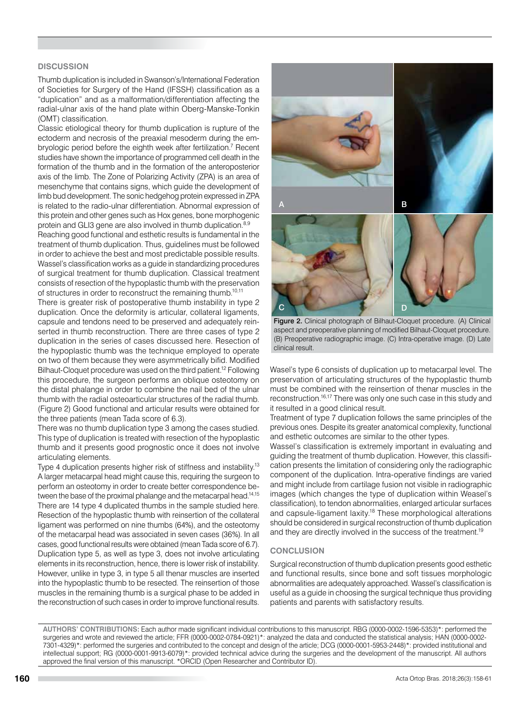### **DISCUSSION**

Thumb duplication is included in Swanson's/International Federation of Societies for Surgery of the Hand (IFSSH) classification as a "duplication" and as a malformation/differentiation affecting the radial-ulnar axis of the hand plate within Oberg-Manske-Tonkin (OMT) classification.

Classic etiological theory for thumb duplication is rupture of the ectoderm and necrosis of the preaxial mesoderm during the embryologic period before the eighth week after fertilization.<sup>7</sup> Recent studies have shown the importance of programmed cell death in the formation of the thumb and in the formation of the anteroposterior axis of the limb. The Zone of Polarizing Activity (ZPA) is an area of mesenchyme that contains signs, which guide the development of limb bud development. The sonic hedgehog protein expressed in ZPA is related to the radio-ulnar differentiation. Abnormal expression of this protein and other genes such as Hox genes, bone morphogenic protein and GLI3 gene are also involved in thumb duplication.<sup>8,9</sup>

Reaching good functional and esthetic results is fundamental in the treatment of thumb duplication. Thus, guidelines must be followed in order to achieve the best and most predictable possible results. Wassel's classification works as a guide in standardizing procedures of surgical treatment for thumb duplication. Classical treatment consists of resection of the hypoplastic thumb with the preservation of structures in order to reconstruct the remaining thumb.10,11

There is greater risk of postoperative thumb instability in type 2 duplication. Once the deformity is articular, collateral ligaments, capsule and tendons need to be preserved and adequately reinserted in thumb reconstruction. There are three cases of type 2 duplication in the series of cases discussed here. Resection of the hypoplastic thumb was the technique employed to operate on two of them because they were asymmetrically bifid. Modified Bilhaut-Cloquet procedure was used on the third patient.12 Following this procedure, the surgeon performs an oblique osteotomy on the distal phalange in order to combine the nail bed of the ulnar thumb with the radial osteoarticular structures of the radial thumb. (Figure 2) Good functional and articular results were obtained for the three patients (mean Tada score of 6.3).

There was no thumb duplication type 3 among the cases studied. This type of duplication is treated with resection of the hypoplastic thumb and it presents good prognostic once it does not involve articulating elements.

Type 4 duplication presents higher risk of stiffness and instability.13 A larger metacarpal head might cause this, requiring the surgeon to perform an osteotomy in order to create better correspondence between the base of the proximal phalange and the metacarpal head.<sup>14,15</sup> There are 14 type 4 duplicated thumbs in the sample studied here. Resection of the hypoplastic thumb with reinsertion of the collateral ligament was performed on nine thumbs (64%), and the osteotomy of the metacarpal head was associated in seven cases (36%). In all cases, good functional results were obtained (mean Tada score of 6.7). Duplication type 5, as well as type 3, does not involve articulating elements in its reconstruction, hence, there is lower risk of instability. However, unlike in type 3, in type 5 all thenar muscles are inserted into the hypoplastic thumb to be resected. The reinsertion of those muscles in the remaining thumb is a surgical phase to be added in the reconstruction of such cases in order to improve functional results.



Figure 2. Clinical photograph of Bilhaut-Cloquet procedure. (A) Clinical aspect and preoperative planning of modified Bilhaut-Cloquet procedure. (B) Preoperative radiographic image. (C) Intra-operative image. (D) Late clinical result.

Wasel's type 6 consists of duplication up to metacarpal level. The preservation of articulating structures of the hypoplastic thumb must be combined with the reinsertion of thenar muscles in the reconstruction.<sup>16,17</sup> There was only one such case in this study and it resulted in a good clinical result.

Treatment of type 7 duplication follows the same principles of the previous ones. Despite its greater anatomical complexity, functional and esthetic outcomes are similar to the other types.

Wassel's classification is extremely important in evaluating and guiding the treatment of thumb duplication. However, this classification presents the limitation of considering only the radiographic component of the duplication. Intra-operative findings are varied and might include from cartilage fusion not visible in radiographic images (which changes the type of duplication within Weasel's classification), to tendon abnormalities, enlarged articular surfaces and capsule-ligament laxity.<sup>18</sup> These morphological alterations should be considered in surgical reconstruction of thumb duplication and they are directly involved in the success of the treatment.<sup>19</sup>

### **CONCLUSION**

Surgical reconstruction of thumb duplication presents good esthetic and functional results, since bone and soft tissues morphologic abnormalities are adequately approached. Wassel's classification is useful as a guide in choosing the surgical technique thus providing patients and parents with satisfactory results.

**AUTHORS' CONTRIBUTIONS:** Each author made significant individual contributions to this manuscript. RBG (0000-0002-1596-5353)\*: performed the surgeries and wrote and reviewed the article; FFR (0000-0002-0784-0921)\*: analyzed the data and conducted the statistical analysis; HAN (0000-0002- 7301-4329)\*: performed the surgeries and contributed to the concept and design of the article; DCG (0000-0001-5953-2448)\*: provided institutional and intellectual support; RG (0000-0001-9913-6079)\*: provided technical advice during the surgeries and the development of the manuscript. All authors approved the final version of this manuscript. \*ORCID (Open Researcher and Contributor ID).